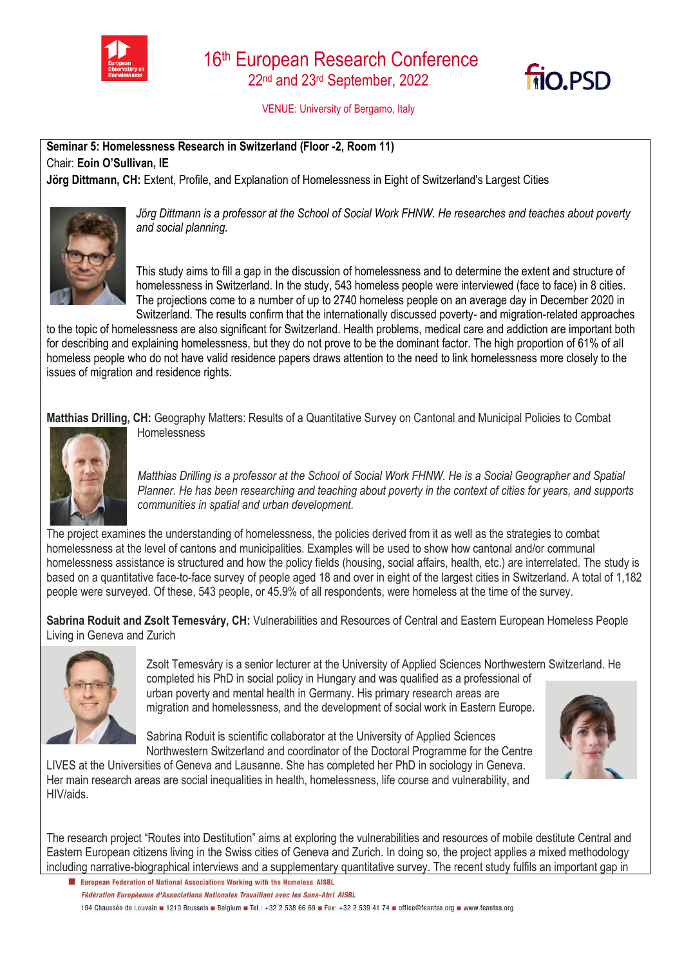



VENUE: University of Bergamo, Italy

**Seminar 5: Homelessness Research in Switzerland (Floor -2, Room 11)**  Chair: **Eoin O'Sullivan, IE**

**Jörg Dittmann, CH:** Extent, Profile, and Explanation of Homelessness in Eight of Switzerland's Largest Cities



*Jörg Dittmann is a professor at the School of Social Work FHNW. He researches and teaches about poverty and social planning.*

This study aims to fill a gap in the discussion of homelessness and to determine the extent and structure of homelessness in Switzerland. In the study, 543 homeless people were interviewed (face to face) in 8 cities. The projections come to a number of up to 2740 homeless people on an average day in December 2020 in Switzerland. The results confirm that the internationally discussed poverty- and migration-related approaches

to the topic of homelessness are also significant for Switzerland. Health problems, medical care and addiction are important both for describing and explaining homelessness, but they do not prove to be the dominant factor. The high proportion of 61% of all homeless people who do not have valid residence papers draws attention to the need to link homelessness more closely to the issues of migration and residence rights.

**Matthias Drilling, CH:** Geography Matters: Results of a Quantitative Survey on Cantonal and Municipal Policies to Combat Homelessness



*Matthias Drilling is a professor at the School of Social Work FHNW. He is a Social Geographer and Spatial Planner. He has been researching and teaching about poverty in the context of cities for years, and supports communities in spatial and urban development.*

The project examines the understanding of homelessness, the policies derived from it as well as the strategies to combat homelessness at the level of cantons and municipalities. Examples will be used to show how cantonal and/or communal homelessness assistance is structured and how the policy fields (housing, social affairs, health, etc.) are interrelated. The study is based on a quantitative face-to-face survey of people aged 18 and over in eight of the largest cities in Switzerland. A total of 1,182 people were surveyed. Of these, 543 people, or 45.9% of all respondents, were homeless at the time of the survey.

**Sabrina Roduit and Zsolt Temesváry, CH:** Vulnerabilities and Resources of Central and Eastern European Homeless People Living in Geneva and Zurich



Zsolt Temesváry is a senior lecturer at the University of Applied Sciences Northwestern Switzerland. He completed his PhD in social policy in Hungary and was qualified as a professional of urban poverty and mental health in Germany. His primary research areas are

migration and homelessness, and the development of social work in Eastern Europe.

Sabrina Roduit is scientific collaborator at the University of Applied Sciences Northwestern Switzerland and coordinator of the Doctoral Programme for the Centre

LIVES at the Universities of Geneva and Lausanne. She has completed her PhD in sociology in Geneva. Her main research areas are social inequalities in health, homelessness, life course and vulnerability, and HIV/aids.



The research project "Routes into Destitution" aims at exploring the vulnerabilities and resources of mobile destitute Central and Eastern European citizens living in the Swiss cities of Geneva and Zurich. In doing so, the project applies a mixed methodology including narrative-biographical interviews and a supplementary quantitative survey. The recent study fulfils an important gap in

El European Federation of National Associations Working with the Homeless AISBL Fédération Européenne d'Associations Nationales Travaillant avec les Sans-Abri AISBL 194 Chaussée de Louvain 1210 Brussels Belgium 16L: +32 2 538 66 69 Fax: +32 2 539 41 74 office@feantsa.org www.feantsa.org